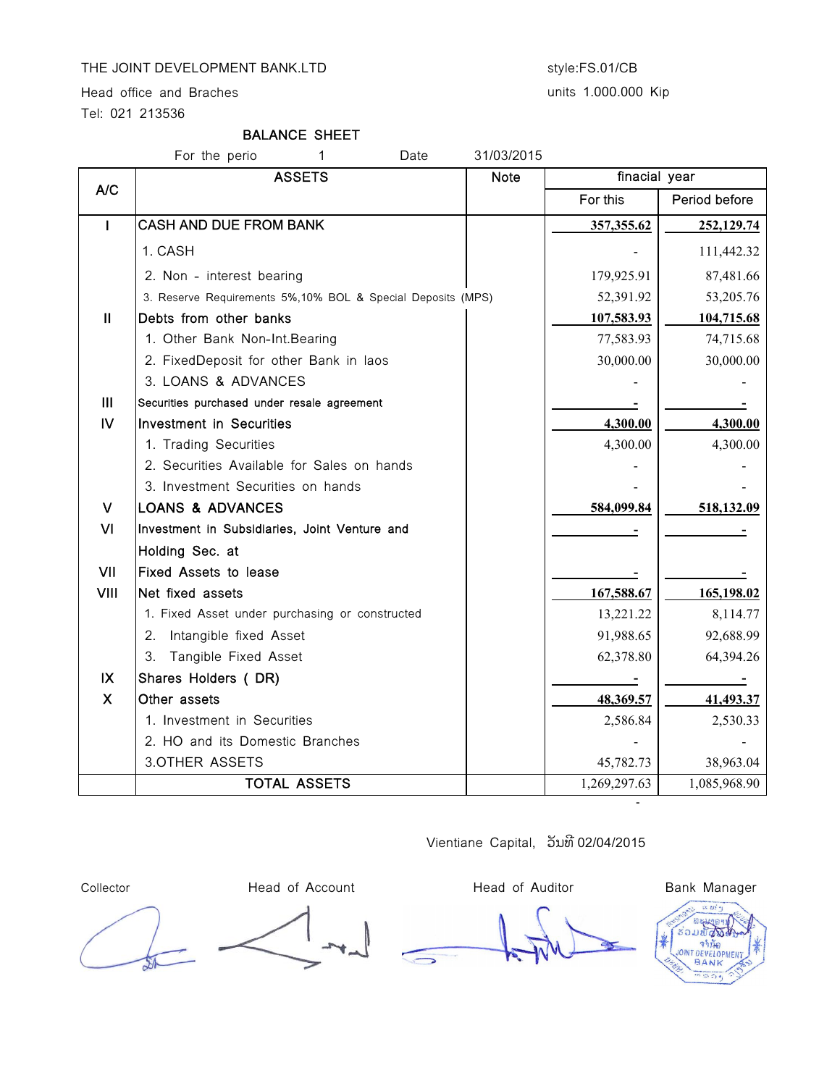## THE JOINT DEVELOPMENT BANK.LTD style:FS.01/CB

Head office and Braches

Tel: 021 213536

### BALANCE SHEET

# For the perio 1 Date 31/03/2015

|                | <b>ASSETS</b>                                                | <b>Note</b> | finacial year |               |
|----------------|--------------------------------------------------------------|-------------|---------------|---------------|
| A/C            |                                                              |             | For this      | Period before |
| I              | <b>CASH AND DUE FROM BANK</b>                                |             | 357,355.62    | 252,129.74    |
|                | 1. CASH                                                      |             |               | 111,442.32    |
|                | 2. Non - interest bearing                                    |             | 179,925.91    | 87,481.66     |
|                | 3. Reserve Requirements 5%, 10% BOL & Special Deposits (MPS) |             | 52,391.92     | 53,205.76     |
| $\mathbf{I}$   | Debts from other banks                                       |             | 107,583.93    | 104,715.68    |
|                | 1. Other Bank Non-Int. Bearing                               |             | 77,583.93     | 74,715.68     |
|                | 2. FixedDeposit for other Bank in laos                       |             | 30,000.00     | 30,000.00     |
|                | 3. LOANS & ADVANCES                                          |             |               |               |
| $\mathbf{III}$ | Securities purchased under resale agreement                  |             |               |               |
| <b>IV</b>      | <b>Investment in Securities</b>                              |             | 4,300.00      | 4,300.00      |
|                | 1. Trading Securities                                        |             | 4,300.00      | 4,300.00      |
|                | 2. Securities Available for Sales on hands                   |             |               |               |
|                | 3. Investment Securities on hands                            |             |               |               |
| $\vee$         | <b>LOANS &amp; ADVANCES</b>                                  |             | 584,099.84    | 518,132.09    |
| <b>VI</b>      | Investment in Subsidiaries, Joint Venture and                |             |               |               |
|                | Holding Sec. at                                              |             |               |               |
| VII            | Fixed Assets to lease                                        |             |               |               |
| VIII           | Net fixed assets                                             |             | 167,588.67    | 165,198.02    |
|                | 1. Fixed Asset under purchasing or constructed               |             | 13,221.22     | 8,114.77      |
|                | 2. Intangible fixed Asset                                    |             | 91,988.65     | 92,688.99     |
|                | 3. Tangible Fixed Asset                                      |             | 62,378.80     | 64,394.26     |
| IX             | Shares Holders (DR)                                          |             |               |               |
| $\mathsf{X}$   | Other assets                                                 |             | 48,369.57     | 41,493.37     |
|                | 1. Investment in Securities                                  |             | 2,586.84      | 2,530.33      |
|                | 2. HO and its Domestic Branches                              |             |               |               |
|                | 3.OTHER ASSETS                                               |             | 45,782.73     | 38,963.04     |
|                | <b>TOTAL ASSETS</b>                                          |             | 1,269,297.63  | 1,085,968.90  |
|                |                                                              |             |               |               |

Vientiane Capital, ວັນທີ 02/04/2015

Collector **Head of Account** Head of Auditor Head of Auditor Bank Manager

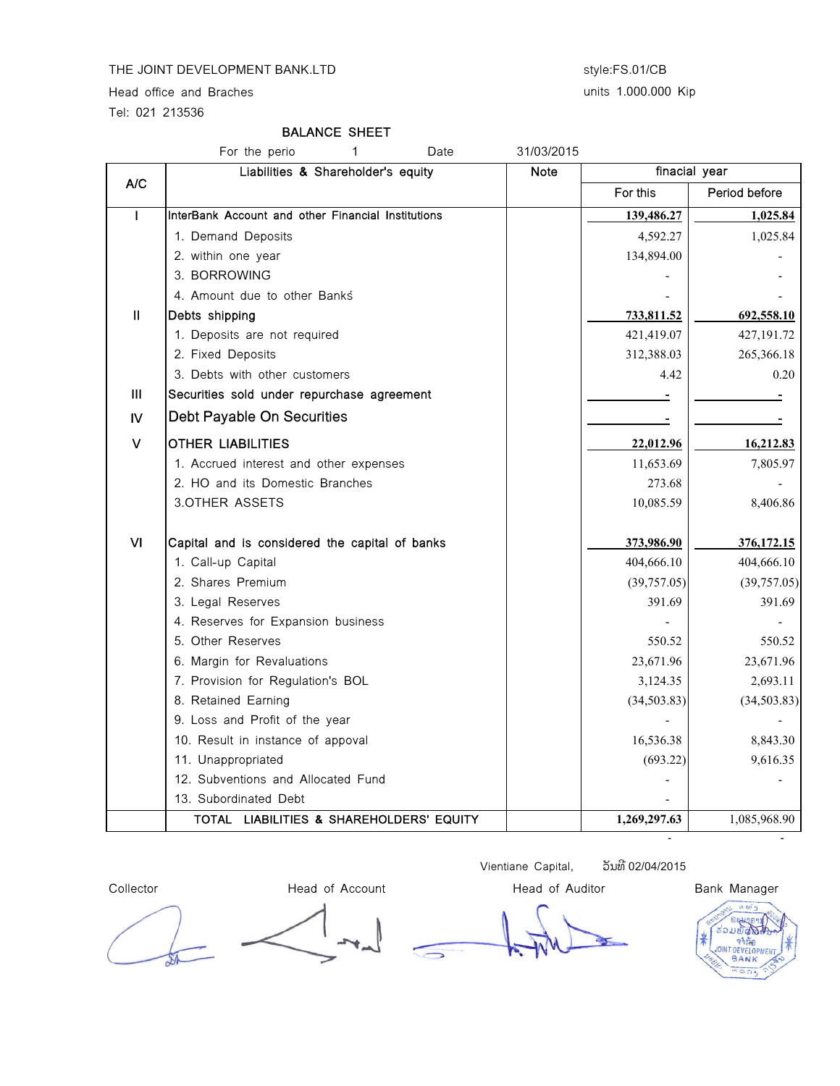#### THE JOINT DEVELOPMENT BANK.LTD style:FS.01/CB

Head office and Braches

Tel: 021 213536

#### BALANCE SHEET

|               | For the perio<br>1<br>Date                         | 31/03/2015  |               |               |  |
|---------------|----------------------------------------------------|-------------|---------------|---------------|--|
|               | Liabilities & Shareholder's equity                 | <b>Note</b> | finacial year |               |  |
| A/C           |                                                    |             | For this      | Period before |  |
| $\mathbf{I}$  | InterBank Account and other Financial Institutions |             | 139,486.27    | 1,025.84      |  |
|               | 1. Demand Deposits                                 |             | 4,592.27      | 1,025.84      |  |
|               | 2. within one year                                 |             | 134,894.00    |               |  |
|               | 3. BORROWING                                       |             |               |               |  |
|               | 4. Amount due to other Banks                       |             |               |               |  |
| $\mathbf{II}$ | Debts shipping                                     |             | 733,811.52    | 692,558.10    |  |
|               | 1. Deposits are not required                       |             | 421,419.07    | 427,191.72    |  |
|               | 2. Fixed Deposits                                  |             | 312,388.03    | 265,366.18    |  |
|               | 3. Debts with other customers                      |             | 4.42          | 0.20          |  |
| Ш             | Securities sold under repurchase agreement         |             |               |               |  |
| IV            | Debt Payable On Securities                         |             |               |               |  |
| v             | <b>OTHER LIABILITIES</b>                           |             | 22,012.96     | 16,212.83     |  |
|               | 1. Accrued interest and other expenses             |             | 11,653.69     | 7,805.97      |  |
|               | 2. HO and its Domestic Branches                    |             | 273.68        |               |  |
|               | 3.OTHER ASSETS                                     |             | 10,085.59     | 8,406.86      |  |
| VI            | Capital and is considered the capital of banks     |             | 373,986.90    | 376,172.15    |  |
|               | 1. Call-up Capital                                 |             | 404,666.10    | 404,666.10    |  |
|               | 2. Shares Premium                                  |             | (39,757.05)   | (39,757.05)   |  |
|               | 3. Legal Reserves                                  |             | 391.69        | 391.69        |  |
|               | 4. Reserves for Expansion business                 |             |               |               |  |
|               | 5. Other Reserves                                  |             | 550.52        | 550.52        |  |
|               | 6. Margin for Revaluations                         |             | 23,671.96     | 23,671.96     |  |
|               | 7. Provision for Regulation's BOL                  |             | 3,124.35      | 2,693.11      |  |
|               | 8. Retained Earning                                |             | (34, 503.83)  | (34,503.83)   |  |
|               | 9. Loss and Profit of the year                     |             |               |               |  |
|               | 10. Result in instance of appoval                  |             | 16,536.38     | 8,843.30      |  |
|               | 11. Unappropriated                                 |             | (693.22)      | 9,616.35      |  |
|               | 12. Subventions and Allocated Fund                 |             |               |               |  |
|               | 13. Subordinated Debt                              |             |               |               |  |
|               | TOTAL LIABILITIES & SHAREHOLDERS' EQUITY           |             | 1,269,297.63  | 1,085,968.90  |  |

Collector **Head of Account** Head of Auditor Head of Auditor Bank Manager

Vientiane Capital, อับทิ 02/04/2015

BOL: Phanethong Kongvongsa, Deputy General Director - -

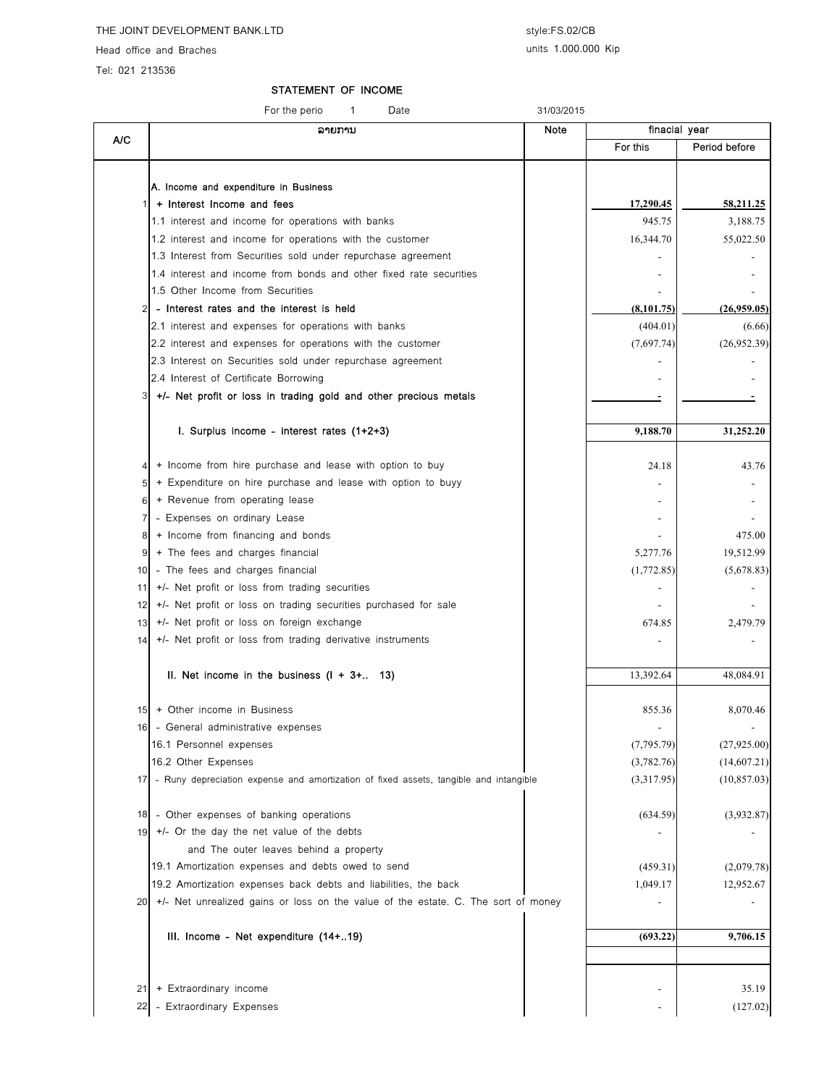Head office and Braches

Tel: 021 213536

A/C

#### STATEMENT OF INCOME

For the perio 1 Date 31/03/2015

ລາຍການ Note For this | Period before A. Income and expenditure in Business 1 + Interest Income and fees 17,290.45  $\frac{17}{290.45}$  58,211.25 1.1 interest and income for operations with banks 945.75 3,188.75 1.2 interest and income for operations with the customer 16,344.70 16,344.70 55,022.50 1.3 Interest from Securities sold under repurchase agreement 1.4 interest and income from bonds and other fixed rate securities and  $\blacksquare$ 1.5 Other Income from Securities 2 - Interest rates and the interest is held  $(8,101.75)$   $(26,959.05)$ 2.1 interest and expenses for operations with banks  $(6.66)$ 2.2 interest and expenses for operations with the customer  $(7,697.74)$   $(26,952.39)$ 2.3 Interest on Securities sold under repurchase agreement 2.4 Interest of Certificate Borrowing - -  $3$  +/- Net profit or loss in trading gold and other precious metals **I.** Surplus income - interest rates  $(1+2+3)$   $\qquad \qquad$  9,188.70  $\qquad \qquad$  31,252.20 4 + Income from hire purchase and lease with option to buy 143.76  $5$  + Expenditure on hire purchase and lease with option to buyy 6 + Revenue from operating lease - finacial year 7 - Expenses on ordinary Lease  $8$  + Income from financing and bonds  $\overline{8}$  +  $\overline{9}$  +  $\overline{10}$  +  $\overline{10}$  +  $\overline{10}$  +  $\overline{10}$  +  $\overline{10}$  +  $\overline{10}$  +  $\overline{10}$  +  $\overline{10}$  +  $\overline{10}$  +  $\overline{10}$  +  $\overline{10}$  +  $\overline{10}$  +  $\overline{10}$  +  $\overline{$  $9 \mid$  + The fees and charges financial 5,277.76 19,512.99 10 - The fees and charges financial (5,678.83) (5,678.83) 11 +/- Net profit or loss from trading securities example of the state of the state of the state of the state of the state of the state of the state of the state of the state of the state of the state of the state of the s  $12$  +/- Net profit or loss on trading securities purchased for sale 13 +/- Net profit or loss on foreign exchange  $\overline{a}$  674.85  $\overline{a}$  674.85 2,479.79 14 +/- Net profit or loss from trading derivative instruments and the state of the state of the state of the state of the state of the state of the state of the state of the state of the state of the state of the state of **II. Net income in the business (I + 3+.. 13)** 13,392.64  $\vert$  13,392.64 48,084.91 15 + Other income in Business 85.36 8,070.46 16 - General administrative expenses - - 16.1 Personnel expenses (7,795.79) (27,925.00) 16.2 Other Expenses (3,782.76) (14,607.21) 17 - Runy depreciation expense and amortization of fixed assets, tangible and intangible (3,317.95) (10,857.03) 18 - Other expenses of banking operations (1892) (3,932.87) 19 +/- Or the day the net value of the debts - and The outer leaves behind a property 19.1 Amortization expenses and debts owed to send (459.31) (2,079.78) 19.2 Amortization expenses back debts and liabilities, the back 1,049.17 1,049.17 12,952.67  $20 \mid +/-$  Net unrealized gains or loss on the value of the estate. C. The sort of money III. Income - Net expenditure  $(14 + .19)$  (693.22) 9,706.15

21 + Extraordinary income 35.19 22 - Extraordinary Expenses - (127.02) - (127.02) - (127.02) - (127.02) - (127.02) - (127.02) - (127.02) - (127.02)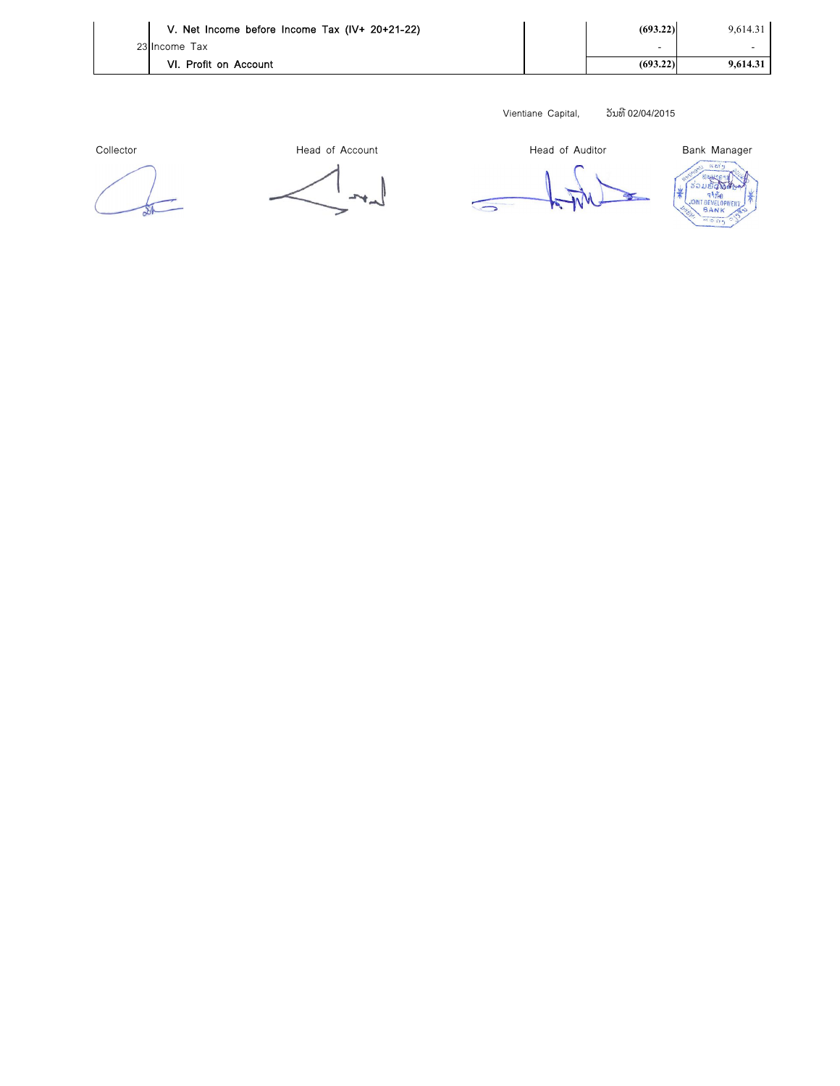| V. Net Income before Income Tax (IV+ 20+21-22) | (693.22) | 9,614.31 |
|------------------------------------------------|----------|----------|
| 23 Income Tax                                  | -        |          |
| VI. Profit on Account                          | (693.22) | 9.614.31 |

Vientiane Capital, อัมทิ 02/04/2015

Collector **Exercise Search Account** Head of Account Head of Auditor Bank Manager

 $\sqrt{2}$ 

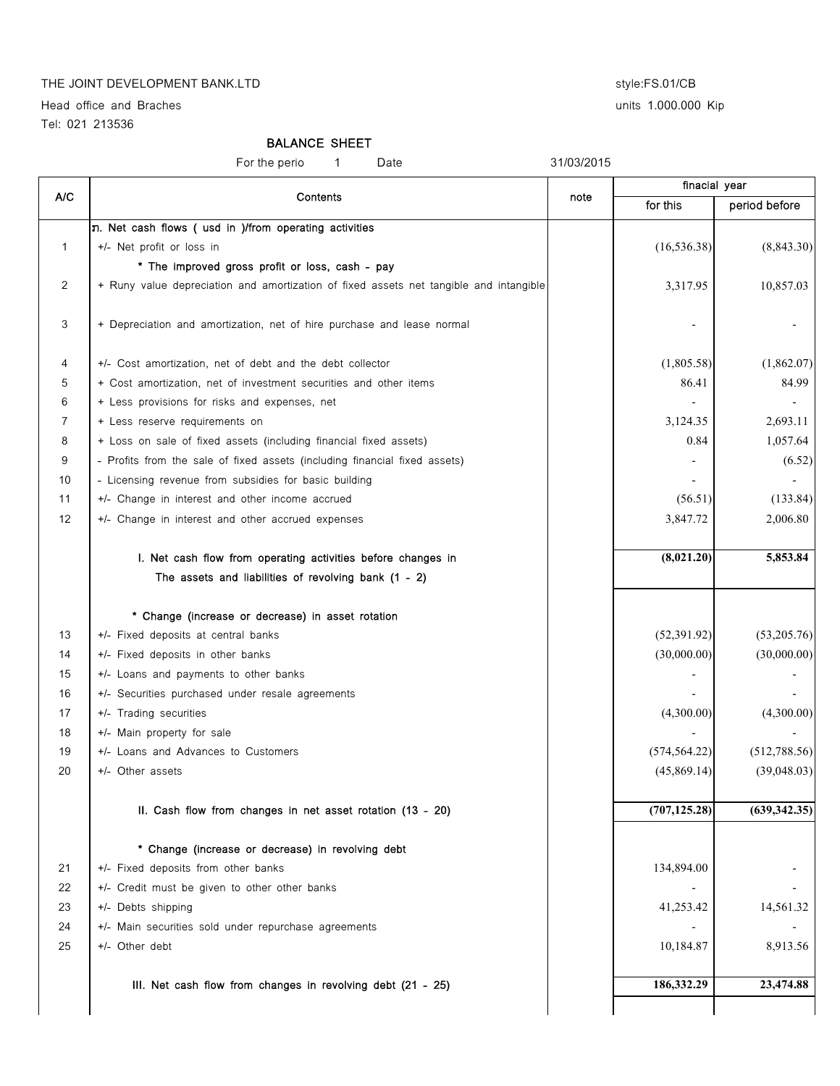# THE JOINT DEVELOPMENT BANK.LTD style:FS.01/CB

Head office and Braches and Exercise units 1.000.000 Kip Tel: 021 213536

#### BALANCE SHEET

For the perio 1 Date 31/03/2015

| A/C            | Contents                                                                               | note | finacial year  |               |
|----------------|----------------------------------------------------------------------------------------|------|----------------|---------------|
|                |                                                                                        |      | for this       | period before |
|                | n. Net cash flows ( usd in )/from operating activities                                 |      |                |               |
| $\mathbf{1}$   | +/- Net profit or loss in                                                              |      | (16, 536.38)   | (8, 843.30)   |
|                | * The improved gross profit or loss, cash - pay                                        |      |                |               |
| 2              | + Runy value depreciation and amortization of fixed assets net tangible and intangible |      | 3,317.95       | 10,857.03     |
| 3              | + Depreciation and amortization, net of hire purchase and lease normal                 |      |                |               |
| 4              | +/- Cost amortization, net of debt and the debt collector                              |      | (1,805.58)     | (1,862.07)    |
| 5              | + Cost amortization, net of investment securities and other items                      |      | 86.41          | 84.99         |
| 6              | + Less provisions for risks and expenses, net                                          |      |                |               |
| $\overline{7}$ | + Less reserve requirements on                                                         |      | 3,124.35       | 2,693.11      |
| 8              | + Loss on sale of fixed assets (including financial fixed assets)                      |      | 0.84           | 1,057.64      |
| 9              | - Profits from the sale of fixed assets (including financial fixed assets)             |      | $\blacksquare$ | (6.52)        |
| 10             | - Licensing revenue from subsidies for basic building                                  |      |                |               |
| 11             | +/- Change in interest and other income accrued                                        |      | (56.51)        | (133.84)      |
| 12             | +/- Change in interest and other accrued expenses                                      |      | 3,847.72       | 2,006.80      |
|                | I. Net cash flow from operating activities before changes in                           |      | (8,021.20)     | 5,853.84      |
|                | The assets and liabilities of revolving bank (1 - 2)                                   |      |                |               |
|                | * Change (increase or decrease) in asset rotation                                      |      |                |               |
| 13             | +/- Fixed deposits at central banks                                                    |      | (52,391.92)    | (53,205.76)   |
| 14             | +/- Fixed deposits in other banks                                                      |      | (30,000.00)    | (30,000.00)   |
| 15             | +/- Loans and payments to other banks                                                  |      |                |               |
| 16             | +/- Securities purchased under resale agreements                                       |      |                |               |
| 17             | +/- Trading securities                                                                 |      | (4,300.00)     | (4,300.00)    |
| 18             | +/- Main property for sale                                                             |      |                |               |
| 19             | +/- Loans and Advances to Customers                                                    |      | (574, 564.22)  | (512,788.56)  |
| 20             | +/- Other assets                                                                       |      | (45,869.14)    | (39,048.03)   |
|                | II. Cash flow from changes in net asset rotation (13 - 20)                             |      | (707, 125.28)  | (639, 342.35) |
|                | * Change (increase or decrease) in revolving debt                                      |      |                |               |
| 21             | +/- Fixed deposits from other banks                                                    |      | 134,894.00     |               |
| 22             | +/- Credit must be given to other other banks                                          |      |                |               |
| 23             | +/- Debts shipping                                                                     |      | 41,253.42      | 14,561.32     |
| 24             | +/- Main securities sold under repurchase agreements                                   |      |                |               |
| 25             | +/- Other debt                                                                         |      | 10,184.87      | 8,913.56      |
|                | III. Net cash flow from changes in revolving debt (21 - 25)                            |      | 186,332.29     | 23,474.88     |